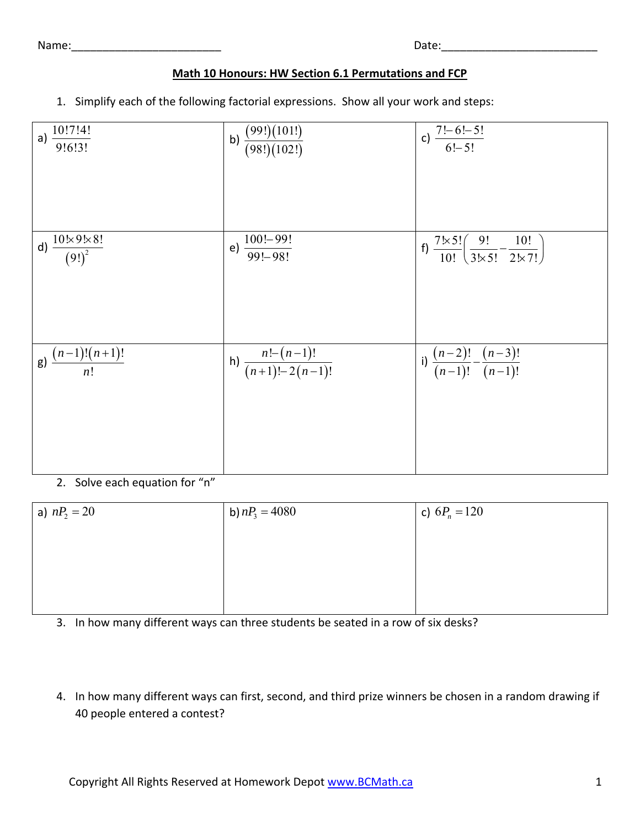Name:\_\_\_\_\_\_\_\_\_\_\_\_\_\_\_\_\_\_\_\_\_\_\_\_ Date:\_\_\_\_\_\_\_\_\_\_\_\_\_\_\_\_\_\_\_\_\_\_\_\_\_

| <br>٩ |  |
|-------|--|

## **Math 10 Honours: HW Section 6.1 Permutations and FCP**

1. Simplify each of the following factorial expressions. Show all your work and steps:

| a) $\frac{10!7!4!}{9!6!3!}$               | b) $\frac{(99!)(101!)}{(98!)(102!)}$  | c) $\frac{7! - 6! - 5!}{6! - 5!}$                                                              |
|-------------------------------------------|---------------------------------------|------------------------------------------------------------------------------------------------|
|                                           |                                       |                                                                                                |
| d) $\frac{10 \times 9 \times 8!}{(9!)^2}$ | e) $\frac{100! - 99!}{99! - 98!}$     | f) $\frac{7 \times 5!}{10!} \left( \frac{9!}{3! \times 5!} - \frac{10!}{2! \times 7!} \right)$ |
|                                           |                                       |                                                                                                |
| g) $\frac{(n-1)!(n+1)!}{n!}$              | h) $\frac{n!-(n-1)!}{(n+1)!-2(n-1)!}$ | i) $\frac{(n-2)!}{(n-1)!} - \frac{(n-3)!}{(n-1)!}$                                             |
|                                           |                                       |                                                                                                |
|                                           |                                       |                                                                                                |

2. Solve each equation for "n"

| a) $nP_2 = 20$ | b) $nP_3 = 4080$ | c) $6P_n = 120$ |
|----------------|------------------|-----------------|
|                |                  |                 |
|                |                  |                 |
|                |                  |                 |
|                |                  |                 |

3. In how many different ways can three students be seated in a row of six desks?

4. In how many different ways can first, second, and third prize winners be chosen in a random drawing if 40 people entered a contest?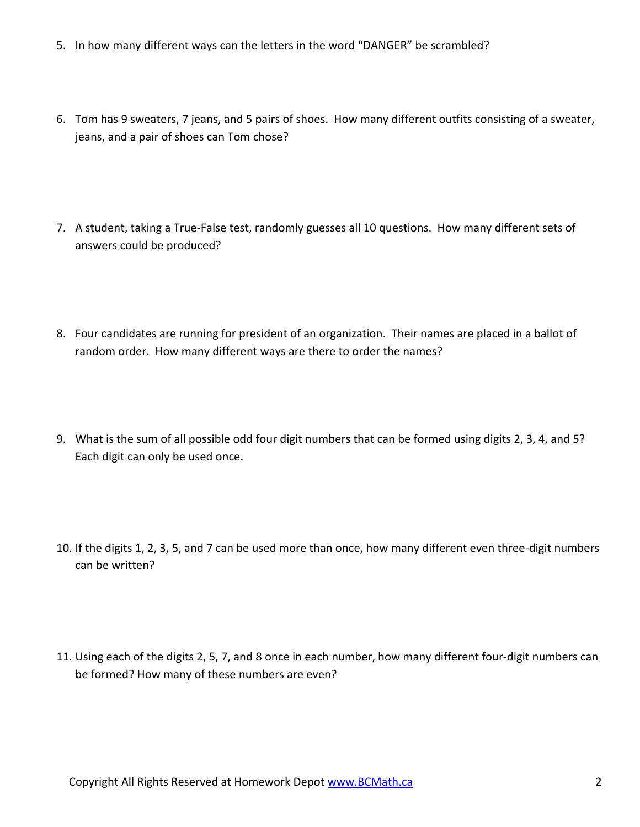- 5. In how many different ways can the letters in the word "DANGER" be scrambled?
- 6. Tom has 9 sweaters, 7 jeans, and 5 pairs of shoes. How many different outfits consisting of a sweater, jeans, and a pair of shoes can Tom chose?
- 7. A student, taking a True‐False test, randomly guesses all 10 questions. How many different sets of answers could be produced?
- 8. Four candidates are running for president of an organization. Their names are placed in a ballot of random order. How many different ways are there to order the names?
- 9. What is the sum of all possible odd four digit numbers that can be formed using digits 2, 3, 4, and 5? Each digit can only be used once.
- 10. If the digits 1, 2, 3, 5, and 7 can be used more than once, how many different even three‐digit numbers can be written?
- 11. Using each of the digits 2, 5, 7, and 8 once in each number, how many different four‐digit numbers can be formed? How many of these numbers are even?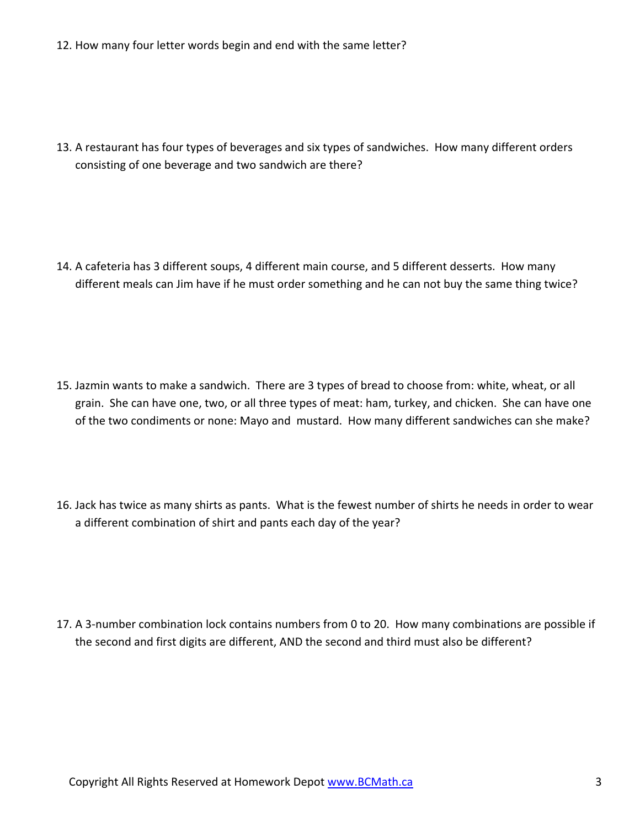12. How many four letter words begin and end with the same letter?

13. A restaurant has four types of beverages and six types of sandwiches. How many different orders consisting of one beverage and two sandwich are there?

14. A cafeteria has 3 different soups, 4 different main course, and 5 different desserts. How many different meals can Jim have if he must order something and he can not buy the same thing twice?

- 15. Jazmin wants to make a sandwich. There are 3 types of bread to choose from: white, wheat, or all grain. She can have one, two, or all three types of meat: ham, turkey, and chicken. She can have one of the two condiments or none: Mayo and mustard. How many different sandwiches can she make?
- 16. Jack has twice as many shirts as pants. What is the fewest number of shirts he needs in order to wear a different combination of shirt and pants each day of the year?

17. A 3-number combination lock contains numbers from 0 to 20. How many combinations are possible if the second and first digits are different, AND the second and third must also be different?